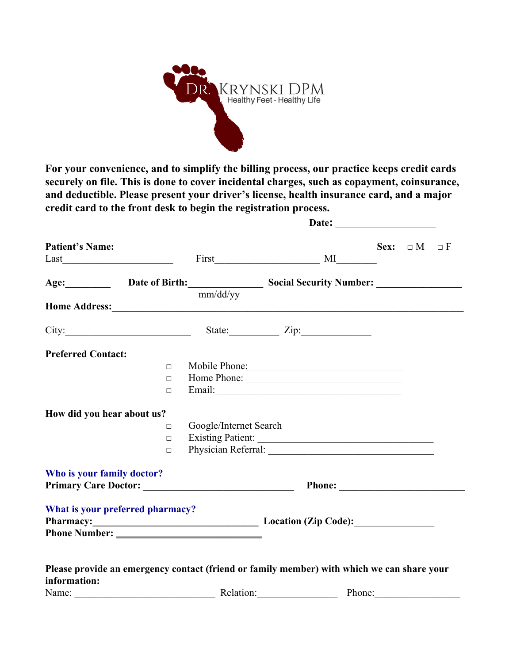

**For your convenience, and to simplify the billing process, our practice keeps credit cards securely on file. This is done to cover incidental charges, such as copayment, coinsurance, and deductible. Please present your driver's license, health insurance card, and a major credit card to the front desk to begin the registration process.**

| <b>Patient's Name:</b>                                                                                                                                                                                                         |        |                        |        | Sex: $\Box M \Box F$ |  |
|--------------------------------------------------------------------------------------------------------------------------------------------------------------------------------------------------------------------------------|--------|------------------------|--------|----------------------|--|
| Age: Date of Birth: Social Security Number: 1991                                                                                                                                                                               |        |                        |        |                      |  |
| Home Address: No. 2016. The Manual School of the Manual School of the Manual School of the Manual School of the Manual School of the Manual School of the Manual School of the Manual School of the Manual School of the Manua |        | mm/dd/yy               |        |                      |  |
| City: City: City: City:                                                                                                                                                                                                        |        |                        |        |                      |  |
| <b>Preferred Contact:</b>                                                                                                                                                                                                      |        |                        |        |                      |  |
|                                                                                                                                                                                                                                | $\Box$ | Mobile Phone:          |        |                      |  |
|                                                                                                                                                                                                                                | $\Box$ |                        |        |                      |  |
|                                                                                                                                                                                                                                | $\Box$ |                        |        |                      |  |
| How did you hear about us?                                                                                                                                                                                                     |        |                        |        |                      |  |
|                                                                                                                                                                                                                                | $\Box$ | Google/Internet Search |        |                      |  |
|                                                                                                                                                                                                                                | $\Box$ | Existing Patient:      |        |                      |  |
|                                                                                                                                                                                                                                | $\Box$ |                        |        |                      |  |
| Who is your family doctor?                                                                                                                                                                                                     |        |                        |        |                      |  |
|                                                                                                                                                                                                                                |        |                        |        |                      |  |
| What is your preferred pharmacy?                                                                                                                                                                                               |        |                        |        |                      |  |
| Pharmacy: Location (Zip Code):                                                                                                                                                                                                 |        |                        |        |                      |  |
|                                                                                                                                                                                                                                |        |                        |        |                      |  |
| Please provide an emergency contact (friend or family member) with which we can share your                                                                                                                                     |        |                        |        |                      |  |
| information:                                                                                                                                                                                                                   |        |                        |        |                      |  |
| Name:                                                                                                                                                                                                                          |        | Relation:              | Phone: |                      |  |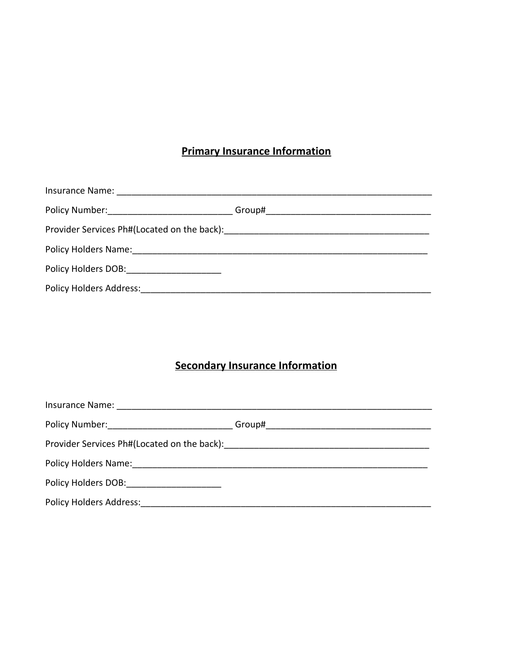# **Primary Insurance Information**

|                                                                                                                                                                                                                                | Group# ___________________________________ |
|--------------------------------------------------------------------------------------------------------------------------------------------------------------------------------------------------------------------------------|--------------------------------------------|
| Provider Services Ph#(Located on the back): Manual American American Control of Provider Services Ph#                                                                                                                          |                                            |
|                                                                                                                                                                                                                                |                                            |
| Policy Holders DOB: Notice that the set of the set of the set of the set of the set of the set of the set of the set of the set of the set of the set of the set of the set of the set of the set of the set of the set of the |                                            |
| <b>Policy Holders Address:</b>                                                                                                                                                                                                 |                                            |

# **Secondary Insurance Information**

| <b>Policy Holders Address:</b> |  |
|--------------------------------|--|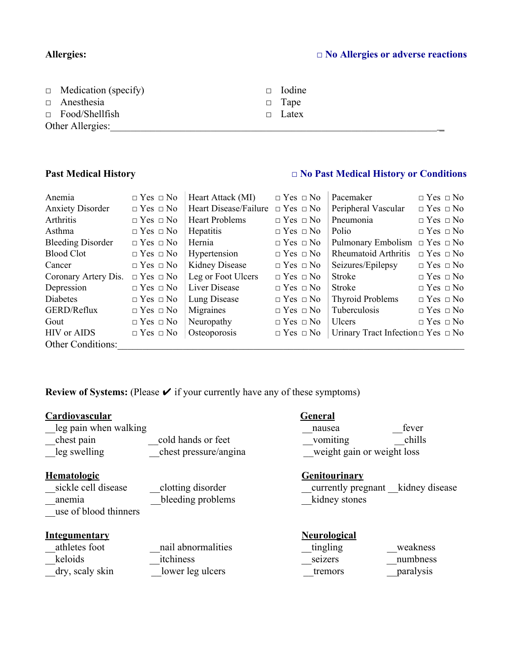# **Allergies: □ No Allergies or adverse reactions**

| $\Box$ Medication (specify) | $\Box$ Iodine |
|-----------------------------|---------------|
| $\Box$ Anesthesia           | $\Box$ Tape   |
| $\Box$ Food/Shellfish       | $\Box$ Latex  |
| Other Allergies:            |               |

# **Past Medical History □ No Past Medical History or Conditions**

| Anemia                   | $\Box$ Yes $\Box$ No | Heart Attack (MI)     | $\Box$ Yes $\Box$ No | Pacemaker                                    | $\Box$ Yes $\Box$ No |
|--------------------------|----------------------|-----------------------|----------------------|----------------------------------------------|----------------------|
| <b>Anxiety Disorder</b>  | $\Box$ Yes $\Box$ No | Heart Disease/Failure | $\Box$ Yes $\Box$ No | Peripheral Vascular                          | $\Box$ Yes $\Box$ No |
| Arthritis                | $\Box$ Yes $\Box$ No | <b>Heart Problems</b> | $\Box$ Yes $\Box$ No | Pneumonia                                    | $\Box$ Yes $\Box$ No |
| Asthma                   | $\Box$ Yes $\Box$ No | Hepatitis             | $\Box$ Yes $\Box$ No | Polio                                        | $\Box$ Yes $\Box$ No |
| <b>Bleeding Disorder</b> | $\Box$ Yes $\Box$ No | Hernia                | $\Box$ Yes $\Box$ No | Pulmonary Embolism                           | $\Box$ Yes $\Box$ No |
| <b>Blood Clot</b>        | $\Box$ Yes $\Box$ No | Hypertension          | $\Box$ Yes $\Box$ No | <b>Rheumatoid Arthritis</b>                  | $\Box$ Yes $\Box$ No |
| Cancer                   | $\Box$ Yes $\Box$ No | Kidney Disease        | $\Box$ Yes $\Box$ No | Seizures/Epilepsy                            | $\Box$ Yes $\Box$ No |
| Coronary Artery Dis.     | $\Box$ Yes $\Box$ No | Leg or Foot Ulcers    | $\Box$ Yes $\Box$ No | Stroke                                       | $\Box$ Yes $\Box$ No |
| Depression               | $\Box$ Yes $\Box$ No | Liver Disease         | $\Box$ Yes $\Box$ No | Stroke                                       | $\Box$ Yes $\Box$ No |
| Diabetes                 | $\Box$ Yes $\Box$ No | Lung Disease          | $\Box$ Yes $\Box$ No | <b>Thyroid Problems</b>                      | $\Box$ Yes $\Box$ No |
| GERD/Reflux              | $\Box$ Yes $\Box$ No | Migraines             | $\Box$ Yes $\Box$ No | Tuberculosis                                 | $\Box$ Yes $\Box$ No |
| Gout                     | $\Box$ Yes $\Box$ No | Neuropathy            | $\Box$ Yes $\Box$ No | <b>Ulcers</b>                                | $\Box$ Yes $\Box$ No |
| <b>HIV</b> or AIDS       | $\Box$ Yes $\Box$ No | Osteoporosis          | $\Box$ Yes $\Box$ No | Urinary Tract Infection $\Box$ Yes $\Box$ No |                      |
| <b>Other Conditions:</b> |                      |                       |                      |                                              |                      |

**Review of Systems:** (Please  $\checkmark$  if your currently have any of these symptoms)

| Cardiovascular<br>leg pain when walking<br>chest pain<br>leg swelling        | cold hands or feet<br>chest pressure/angina         | General<br>fever<br>nausea<br>vomiting<br>chills<br>weight gain or weight loss             |
|------------------------------------------------------------------------------|-----------------------------------------------------|--------------------------------------------------------------------------------------------|
| <b>Hematologic</b><br>sickle cell disease<br>anemia<br>use of blood thinners | clotting disorder<br>bleeding problems              | <b>Genitourinary</b><br>currently pregnant kidney disease<br>kidney stones                 |
| <u>Integumentary</u><br>athletes foot<br>keloids<br>dry, scaly skin          | nail abnormalities<br>itchiness<br>lower leg ulcers | <b>Neurological</b><br>tingling<br>weakness<br>numbness<br>seizers<br>paralysis<br>tremors |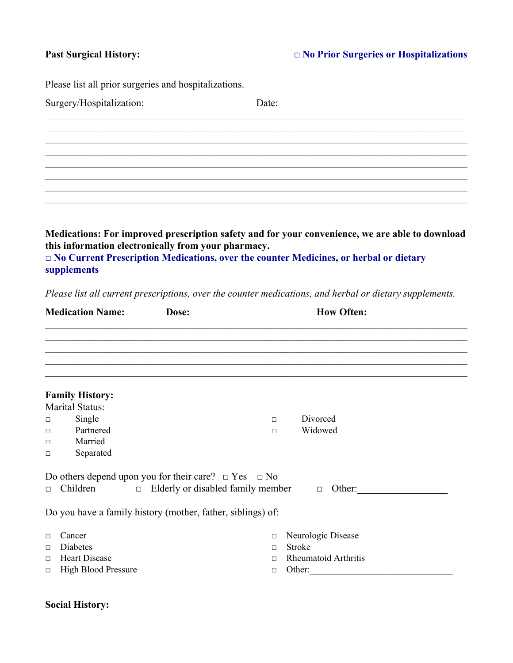Please list all prior surgeries and hospitalizations.

| Surgery/Hospitalization: | Date: |  |
|--------------------------|-------|--|
|                          |       |  |
|                          |       |  |
|                          |       |  |
|                          |       |  |
|                          |       |  |
|                          |       |  |
|                          |       |  |

**Medications: For improved prescription safety and for your convenience, we are able to download this information electronically from your pharmacy. □ No Current Prescription Medications, over the counter Medicines, or herbal or dietary supplements**

*Please list all current prescriptions, over the counter medications, and herbal or dietary supplements.*

|                                      | <b>Medication Name:</b>                                                         | Dose:                                                                                                                                                                     |                                      | <b>How Often:</b>                                                     |  |
|--------------------------------------|---------------------------------------------------------------------------------|---------------------------------------------------------------------------------------------------------------------------------------------------------------------------|--------------------------------------|-----------------------------------------------------------------------|--|
|                                      |                                                                                 |                                                                                                                                                                           |                                      |                                                                       |  |
|                                      | <b>Family History:</b><br>Marital Status:                                       |                                                                                                                                                                           |                                      |                                                                       |  |
| $\Box$<br>$\Box$<br>$\Box$<br>$\Box$ | Single<br>Partnered<br>Married<br>Separated                                     |                                                                                                                                                                           | $\Box$<br>$\Box$                     | Divorced<br>Widowed                                                   |  |
| $\Box$                               | Children                                                                        | Do others depend upon you for their care? $\Box$ Yes $\Box$ No<br>$\Box$ Elderly or disabled family member<br>Do you have a family history (mother, father, siblings) of: |                                      | Other:<br>$\Box$                                                      |  |
| $\Box$<br>$\Box$<br>$\Box$<br>$\Box$ | Cancer<br><b>Diabetes</b><br><b>Heart Disease</b><br><b>High Blood Pressure</b> |                                                                                                                                                                           | $\Box$<br>$\Box$<br>$\Box$<br>$\Box$ | Neurologic Disease<br><b>Stroke</b><br>Rheumatoid Arthritis<br>Other: |  |

### **Social History:**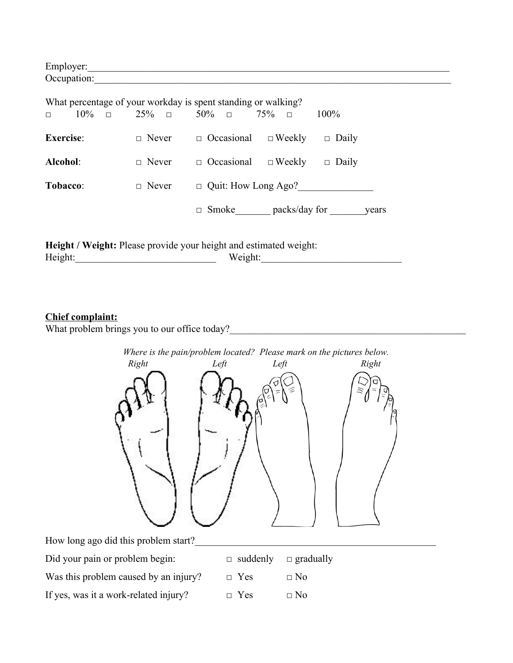| Employer:   |  |  |
|-------------|--|--|
| Occupation: |  |  |
|             |  |  |

| What percentage of your workday is spent standing or walking? |               |                            |               |              |
|---------------------------------------------------------------|---------------|----------------------------|---------------|--------------|
| $10\%$ 0<br>$\Box$                                            | $25\%$ $\Box$ | $50\%$ $\Box$              | 75%<br>$\Box$ | $100\%$      |
| <b>Exercise:</b>                                              | $\Box$ Never  | $\Box$ Occasional          | $\Box$ Weekly | $\Box$ Daily |
| Alcohol:                                                      | $\Box$ Never  | $\Box$ Occasional          | $\Box$ Weekly | $\Box$ Daily |
| <b>Tobacco:</b>                                               | $\Box$ Never  | $\Box$ Quit: How Long Ago? |               |              |
|                                                               |               | Smoke<br>п                 | packs/day for | years        |

Height / Weight: Please provide your height and estimated weight: Height:\_\_\_\_\_\_\_\_\_\_\_\_\_\_\_\_\_\_\_\_\_\_\_\_\_\_\_\_ Weight:\_\_\_\_\_\_\_\_\_\_\_\_\_\_\_\_\_\_\_\_\_\_\_\_\_\_\_\_

## **Chief complaint:**

What problem brings you to our office today?<br>What problem brings you to our office today?



| Did your pain or problem begin:       | $\Box$ suddenly $\Box$ gradually |           |
|---------------------------------------|----------------------------------|-----------|
| Was this problem caused by an injury? | $\Box$ Yes                       | $\Box$ No |
| If yes, was it a work-related injury? | $\Box$ Yes                       | $\Box$ No |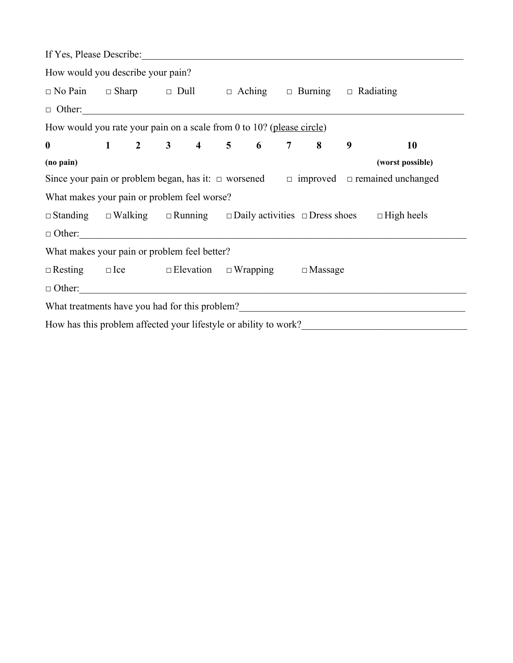| If Yes, Please Describe:                                                              |  |  |  |  |                                                                                                                                                                                                                                       |
|---------------------------------------------------------------------------------------|--|--|--|--|---------------------------------------------------------------------------------------------------------------------------------------------------------------------------------------------------------------------------------------|
| How would you describe your pain?                                                     |  |  |  |  |                                                                                                                                                                                                                                       |
| $\Box$ No Pain $\Box$ Sharp $\Box$ Dull $\Box$ Aching $\Box$ Burning $\Box$ Radiating |  |  |  |  |                                                                                                                                                                                                                                       |
|                                                                                       |  |  |  |  |                                                                                                                                                                                                                                       |
| How would you rate your pain on a scale from 0 to 10? (please circle)                 |  |  |  |  |                                                                                                                                                                                                                                       |
| $1$ 2 3 4 5 6 7 8 9<br>$\bf{0}$                                                       |  |  |  |  | <b>10</b>                                                                                                                                                                                                                             |
| (no pain)                                                                             |  |  |  |  | (worst possible)                                                                                                                                                                                                                      |
|                                                                                       |  |  |  |  | Since your pain or problem began, has it: $\Box$ worsened $\Box$ improved $\Box$ remained unchanged                                                                                                                                   |
| What makes your pain or problem feel worse?                                           |  |  |  |  |                                                                                                                                                                                                                                       |
|                                                                                       |  |  |  |  | $\Box$ Standing $\Box$ Walking $\Box$ Running $\Box$ Daily activities $\Box$ Dress shoes $\Box$ High heels                                                                                                                            |
| $\Box$ Other:                                                                         |  |  |  |  |                                                                                                                                                                                                                                       |
| What makes your pain or problem feel better?                                          |  |  |  |  |                                                                                                                                                                                                                                       |
| $\Box$ Resting $\Box$ Ice $\Box$ Elevation $\Box$ Wrapping $\Box$ Massage             |  |  |  |  |                                                                                                                                                                                                                                       |
| $\Box$ Other:                                                                         |  |  |  |  |                                                                                                                                                                                                                                       |
|                                                                                       |  |  |  |  | What treatments have you had for this problem?<br><u>Letting</u> the state of the state of the state of the state of the state of the state of the state of the state of the state of the state of the state of the state of the stat |
|                                                                                       |  |  |  |  |                                                                                                                                                                                                                                       |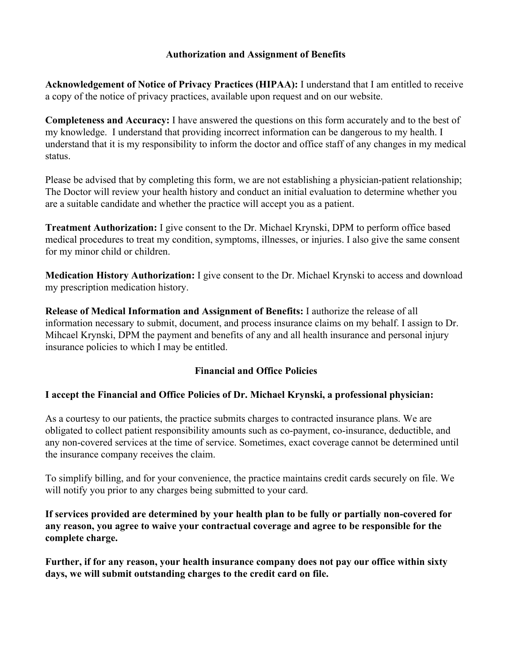## **Authorization and Assignment of Benefits**

**Acknowledgement of Notice of Privacy Practices (HIPAA):** I understand that I am entitled to receive a copy of the notice of privacy practices, available upon request and on our website.

**Completeness and Accuracy:** I have answered the questions on this form accurately and to the best of my knowledge. I understand that providing incorrect information can be dangerous to my health. I understand that it is my responsibility to inform the doctor and office staff of any changes in my medical status.

Please be advised that by completing this form, we are not establishing a physician-patient relationship; The Doctor will review your health history and conduct an initial evaluation to determine whether you are a suitable candidate and whether the practice will accept you as a patient.

**Treatment Authorization:** I give consent to the Dr. Michael Krynski, DPM to perform office based medical procedures to treat my condition, symptoms, illnesses, or injuries. I also give the same consent for my minor child or children.

**Medication History Authorization:** I give consent to the Dr. Michael Krynski to access and download my prescription medication history.

**Release of Medical Information and Assignment of Benefits:** I authorize the release of all information necessary to submit, document, and process insurance claims on my behalf. I assign to Dr. Mihcael Krynski, DPM the payment and benefits of any and all health insurance and personal injury insurance policies to which I may be entitled.

# **Financial and Office Policies**

## **I accept the Financial and Office Policies of Dr. Michael Krynski, a professional physician:**

As a courtesy to our patients, the practice submits charges to contracted insurance plans. We are obligated to collect patient responsibility amounts such as co-payment, co-insurance, deductible, and any non-covered services at the time of service. Sometimes, exact coverage cannot be determined until the insurance company receives the claim.

To simplify billing, and for your convenience, the practice maintains credit cards securely on file. We will notify you prior to any charges being submitted to your card.

**If services provided are determined by your health plan to be fully or partially non-covered for any reason, you agree to waive your contractual coverage and agree to be responsible for the complete charge.**

**Further, if for any reason, your health insurance company does not pay our office within sixty days, we will submit outstanding charges to the credit card on file.**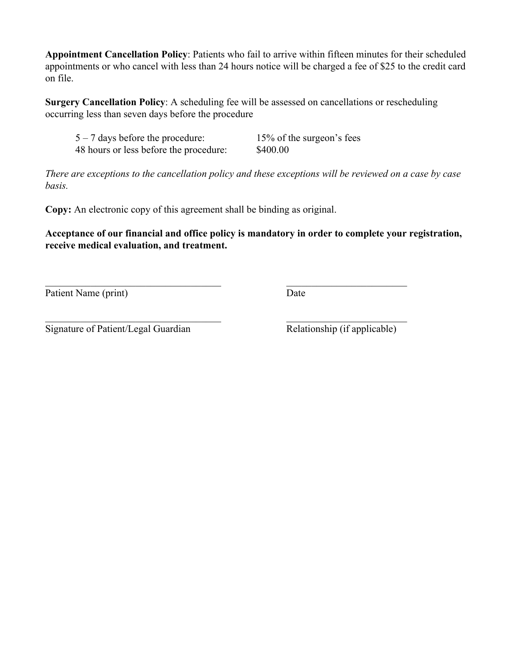**Appointment Cancellation Policy**: Patients who fail to arrive within fifteen minutes for their scheduled appointments or who cancel with less than 24 hours notice will be charged a fee of \$25 to the credit card on file.

**Surgery Cancellation Policy**: A scheduling fee will be assessed on cancellations or rescheduling occurring less than seven days before the procedure

5 – 7 days before the procedure: 15% of the surgeon's fees 48 hours or less before the procedure: \$400.00

*There are exceptions to the cancellation policy and these exceptions will be reviewed on a case by case basis.*

**Copy:** An electronic copy of this agreement shall be binding as original.

**Acceptance of our financial and office policy is mandatory in order to complete your registration, receive medical evaluation, and treatment.**

 $\mathcal{L}_\text{max}$  , and the contract of the contract of the contract of the contract of the contract of the contract of

 $\mathcal{L}_\text{max}$  , and the contract of the contract of the contract of the contract of the contract of the contract of

Patient Name (print) Date

Signature of Patient/Legal Guardian Relationship (if applicable)